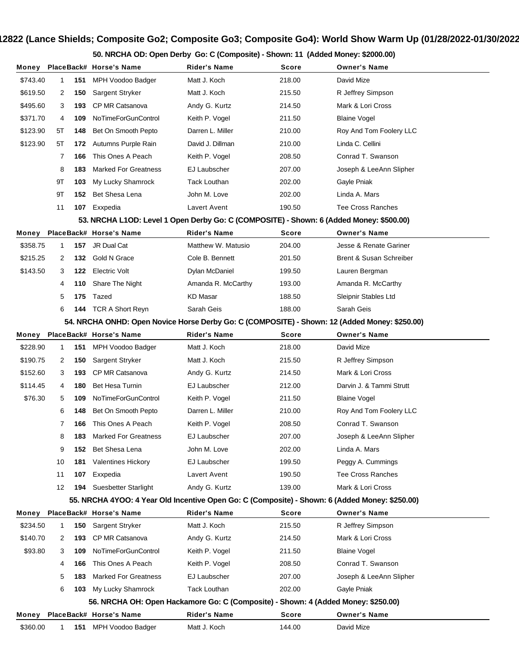## **Show #12822 (Lance Shields; Composite Go2; Composite Go3; Composite Go4): World Show Warm Up (01/28/2022-01/30/2022)**

**50. NRCHA OD: Open Derby Go: C (Composite) - Shown: 11 (Added Money: \$2000.00)**

| Money    |    |     | PlaceBack# Horse's Name                                                                        | Rider's Name        | <b>Score</b> | <b>Owner's Name</b>      |
|----------|----|-----|------------------------------------------------------------------------------------------------|---------------------|--------------|--------------------------|
| \$743.40 | 1  | 151 | MPH Voodoo Badger                                                                              | Matt J. Koch        | 218.00       | David Mize               |
| \$619.50 | 2  | 150 | Sargent Stryker                                                                                | Matt J. Koch        | 215.50       | R Jeffrey Simpson        |
| \$495.60 | 3  | 193 | CP MR Catsanova                                                                                | Andy G. Kurtz       | 214.50       | Mark & Lori Cross        |
| \$371.70 | 4  | 109 | NoTimeForGunControl                                                                            | Keith P. Vogel      | 211.50       | <b>Blaine Vogel</b>      |
| \$123.90 | 5Τ | 148 | Bet On Smooth Pepto                                                                            | Darren L. Miller    | 210.00       | Roy And Tom Foolery LLC  |
| \$123.90 | 5T | 172 | Autumns Purple Rain                                                                            | David J. Dillman    | 210.00       | Linda C. Cellini         |
|          | 7  | 166 | This Ones A Peach                                                                              | Keith P. Vogel      | 208.50       | Conrad T. Swanson        |
|          | 8  | 183 | <b>Marked For Greatness</b>                                                                    | EJ Laubscher        | 207.00       | Joseph & LeeAnn Slipher  |
|          | 9Τ | 103 | My Lucky Shamrock                                                                              | <b>Tack Louthan</b> | 202.00       | Gayle Pniak              |
|          | 9T | 152 | Bet Shesa Lena                                                                                 | John M. Love        | 202.00       | Linda A. Mars            |
|          | 11 | 107 | Exxpedia                                                                                       | Lavert Avent        | 190.50       | <b>Tee Cross Ranches</b> |
|          |    |     | 53. NRCHA L1OD: Level 1 Open Derby Go: C (COMPOSITE) - Shown: 6 (Added Money: \$500.00)        |                     |              |                          |
| Money    |    |     | PlaceBack# Horse's Name                                                                        | <b>Rider's Name</b> | <b>Score</b> | <b>Owner's Name</b>      |
| \$358.75 | 1  | 157 | JR Dual Cat                                                                                    | Matthew W. Matusio  | 204.00       | Jesse & Renate Gariner   |
| \$215.25 | 2  | 132 | Gold N Grace                                                                                   | Cole B. Bennett     | 201.50       | Brent & Susan Schreiber  |
| \$143.50 | 3  | 122 | <b>Electric Volt</b>                                                                           | Dylan McDaniel      | 199.50       | Lauren Bergman           |
|          | 4  | 110 | Share The Night                                                                                | Amanda R. McCarthy  | 193.00       | Amanda R. McCarthy       |
|          | 5  | 175 | Tazed                                                                                          | <b>KD Masar</b>     | 188.50       | Sleipnir Stables Ltd     |
|          | 6  | 144 | <b>TCR A Short Reyn</b>                                                                        | Sarah Geis          | 188.00       | Sarah Geis               |
|          |    |     | 54. NRCHA ONHD: Open Novice Horse Derby Go: C (COMPOSITE) - Shown: 12 (Added Money: \$250.00)  |                     |              |                          |
| Money    |    |     | PlaceBack# Horse's Name                                                                        | <b>Rider's Name</b> | <b>Score</b> | <b>Owner's Name</b>      |
| \$228.90 | 1  | 151 | MPH Voodoo Badger                                                                              | Matt J. Koch        | 218.00       | David Mize               |
| \$190.75 | 2  | 150 | Sargent Stryker                                                                                | Matt J. Koch        | 215.50       | R Jeffrey Simpson        |
| \$152.60 | 3  | 193 | CP MR Catsanova                                                                                | Andy G. Kurtz       | 214.50       | Mark & Lori Cross        |
| \$114.45 | 4  | 180 | Bet Hesa Turnin                                                                                | EJ Laubscher        | 212.00       | Darvin J. & Tammi Strutt |
| \$76.30  | 5  | 109 | NoTimeForGunControl                                                                            | Keith P. Vogel      | 211.50       | <b>Blaine Vogel</b>      |
|          | 6  | 148 | Bet On Smooth Pepto                                                                            | Darren L. Miller    | 210.00       | Roy And Tom Foolery LLC  |
|          | 7  | 166 | This Ones A Peach                                                                              | Keith P. Vogel      | 208.50       | Conrad T. Swanson        |
|          | 8  | 183 | <b>Marked For Greatness</b>                                                                    | EJ Laubscher        | 207.00       | Joseph & LeeAnn Slipher  |
|          | 9  | 152 | Bet Shesa Lena                                                                                 | John M. Love        | 202.00       | Linda A. Mars            |
|          | 10 | 181 | <b>Valentines Hickory</b>                                                                      | EJ Laubscher        | 199.50       | Peggy A. Cummings        |
|          | 11 | 107 | Exxpedia                                                                                       | Lavert Avent        | 190.50       | <b>Tee Cross Ranches</b> |
|          | 12 | 194 | <b>Suesbetter Starlight</b>                                                                    | Andy G. Kurtz       | 139.00       | Mark & Lori Cross        |
|          |    |     | 55. NRCHA 4YOO: 4 Year Old Incentive Open Go: C (Composite) - Shown: 6 (Added Money: \$250.00) |                     |              |                          |
| Money    |    |     | PlaceBack# Horse's Name                                                                        | <b>Rider's Name</b> | <b>Score</b> | <b>Owner's Name</b>      |
| \$234.50 | 1  | 150 | Sargent Stryker                                                                                | Matt J. Koch        | 215.50       | R Jeffrey Simpson        |
| \$140.70 | 2  | 193 | CP MR Catsanova                                                                                | Andy G. Kurtz       | 214.50       | Mark & Lori Cross        |
| \$93.80  | 3  | 109 | NoTimeForGunControl                                                                            | Keith P. Vogel      | 211.50       | <b>Blaine Vogel</b>      |
|          | 4  | 166 | This Ones A Peach                                                                              | Keith P. Vogel      | 208.50       | Conrad T. Swanson        |
|          | 5  | 183 | <b>Marked For Greatness</b>                                                                    | EJ Laubscher        | 207.00       | Joseph & LeeAnn Slipher  |
|          | 6  | 103 | My Lucky Shamrock                                                                              | <b>Tack Louthan</b> | 202.00       | Gayle Pniak              |
|          |    |     | 56. NRCHA OH: Open Hackamore Go: C (Composite) - Shown: 4 (Added Money: \$250.00)              |                     |              |                          |
| Money    |    |     | PlaceBack# Horse's Name                                                                        | <b>Rider's Name</b> | Score        | <b>Owner's Name</b>      |
| \$360.00 | 1  | 151 | MPH Voodoo Badger                                                                              | Matt J. Koch        | 144.00       | David Mize               |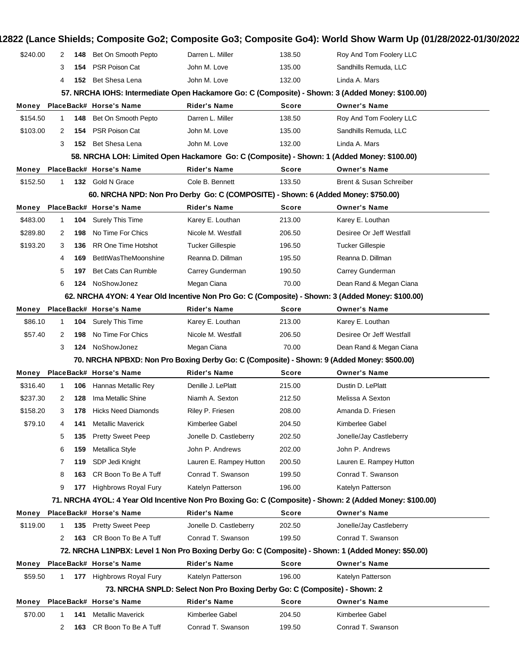| \$240.00 | $\mathbf{2}^{\circ}$ | 148 | Bet On Smooth Pepto         | Darren L. Miller                                                                  | 138.50       | Roy And Tom Foolery LLC                                                                                  |
|----------|----------------------|-----|-----------------------------|-----------------------------------------------------------------------------------|--------------|----------------------------------------------------------------------------------------------------------|
|          | 3                    | 154 | PSR Poison Cat              | John M. Love                                                                      | 135.00       | Sandhills Remuda, LLC                                                                                    |
|          | 4                    | 152 | Bet Shesa Lena              | John M. Love                                                                      | 132.00       | Linda A. Mars                                                                                            |
|          |                      |     |                             |                                                                                   |              | 57. NRCHA IOHS: Intermediate Open Hackamore Go: C (Composite) - Shown: 3 (Added Money: \$100.00)         |
| Money    |                      |     | PlaceBack# Horse's Name     | <b>Rider's Name</b>                                                               | <b>Score</b> | <b>Owner's Name</b>                                                                                      |
| \$154.50 | 1                    | 148 | Bet On Smooth Pepto         | Darren L. Miller                                                                  | 138.50       | Roy And Tom Foolery LLC                                                                                  |
| \$103.00 | 2                    | 154 | PSR Poison Cat              | John M. Love                                                                      | 135.00       | Sandhills Remuda, LLC                                                                                    |
|          | 3                    |     | 152 Bet Shesa Lena          | John M. Love                                                                      | 132.00       | Linda A. Mars                                                                                            |
|          |                      |     |                             |                                                                                   |              | 58. NRCHA LOH: Limited Open Hackamore Go: C (Composite) - Shown: 1 (Added Money: \$100.00)               |
| Money    |                      |     | PlaceBack# Horse's Name     | <b>Rider's Name</b>                                                               | Score        | <b>Owner's Name</b>                                                                                      |
| \$152.50 | 1                    |     | 132 Gold N Grace            | Cole B. Bennett                                                                   | 133.50       | Brent & Susan Schreiber                                                                                  |
|          |                      |     |                             | 60. NRCHA NPD: Non Pro Derby Go: C (COMPOSITE) - Shown: 6 (Added Money: \$750.00) |              |                                                                                                          |
| Money    |                      |     | PlaceBack# Horse's Name     | <b>Rider's Name</b>                                                               | <b>Score</b> | <b>Owner's Name</b>                                                                                      |
| \$483.00 | 1                    | 104 | <b>Surely This Time</b>     | Karey E. Louthan                                                                  | 213.00       | Karey E. Louthan                                                                                         |
| \$289.80 | $\mathbf{2}^{\circ}$ | 198 | No Time For Chics           | Nicole M. Westfall                                                                | 206.50       | Desiree Or Jeff Westfall                                                                                 |
| \$193.20 | 3                    | 136 | <b>RR One Time Hotshot</b>  | <b>Tucker Gillespie</b>                                                           | 196.50       | <b>Tucker Gillespie</b>                                                                                  |
|          | 4                    | 169 | <b>BetItWasTheMoonshine</b> | Reanna D. Dillman                                                                 | 195.50       | Reanna D. Dillman                                                                                        |
|          | 5                    | 197 | Bet Cats Can Rumble         | Carrey Gunderman                                                                  | 190.50       | Carrey Gunderman                                                                                         |
|          | 6                    | 124 | NoShowJonez                 | Megan Ciana                                                                       | 70.00        | Dean Rand & Megan Ciana                                                                                  |
|          |                      |     |                             |                                                                                   |              | 62. NRCHA 4YON: 4 Year Old Incentive Non Pro Go: C (Composite) - Shown: 3 (Added Money: \$100.00)        |
| Money    |                      |     | PlaceBack# Horse's Name     | <b>Rider's Name</b>                                                               | <b>Score</b> | <b>Owner's Name</b>                                                                                      |
| \$86.10  | 1                    | 104 | <b>Surely This Time</b>     | Karey E. Louthan                                                                  | 213.00       | Karey E. Louthan                                                                                         |
| \$57.40  | 2                    | 198 | No Time For Chics           | Nicole M. Westfall                                                                | 206.50       | Desiree Or Jeff Westfall                                                                                 |
|          | 3                    | 124 | NoShowJonez                 | Megan Ciana                                                                       | 70.00        | Dean Rand & Megan Ciana                                                                                  |
|          |                      |     |                             |                                                                                   |              | 70. NRCHA NPBXD: Non Pro Boxing Derby Go: C (Composite) - Shown: 9 (Added Money: \$500.00)               |
| Money    |                      |     | PlaceBack# Horse's Name     | <b>Rider's Name</b>                                                               | <b>Score</b> | <b>Owner's Name</b>                                                                                      |
| \$316.40 | 1                    | 106 | <b>Hannas Metallic Rey</b>  | Denille J. LePlatt                                                                | 215.00       | Dustin D. LePlatt                                                                                        |
| \$237.30 | 2                    | 128 | Ima Metallic Shine          | Niamh A. Sexton                                                                   | 212.50       | Melissa A Sexton                                                                                         |
| \$158.20 | 3                    | 178 | <b>Hicks Need Diamonds</b>  | Riley P. Friesen                                                                  | 208.00       | Amanda D. Friesen                                                                                        |
| \$79.10  | 4                    | 141 | <b>Metallic Maverick</b>    | Kimberlee Gabel                                                                   | 204.50       | Kimberlee Gabel                                                                                          |
|          | 5                    | 135 | <b>Pretty Sweet Peep</b>    | Jonelle D. Castleberry                                                            | 202.50       | Jonelle/Jay Castleberry                                                                                  |
|          | 6                    | 159 | Metallica Style             | John P. Andrews                                                                   | 202.00       | John P. Andrews                                                                                          |
|          | 7                    | 119 | SDP Jedi Knight             | Lauren E. Rampey Hutton                                                           | 200.50       | Lauren E. Rampey Hutton                                                                                  |
|          | 8                    | 163 | CR Boon To Be A Tuff        | Conrad T. Swanson                                                                 | 199.50       | Conrad T. Swanson                                                                                        |
|          | 9                    | 177 | <b>Highbrows Royal Fury</b> | Katelyn Patterson                                                                 | 196.00       | Katelyn Patterson                                                                                        |
|          |                      |     |                             |                                                                                   |              | 71. NRCHA 4YOL: 4 Year Old Incentive Non Pro Boxing Go: C (Composite) - Shown: 2 (Added Money: \$100.00) |
| Money    |                      |     | PlaceBack# Horse's Name     | <b>Rider's Name</b>                                                               | <b>Score</b> | <b>Owner's Name</b>                                                                                      |
| \$119.00 | 1                    | 135 | <b>Pretty Sweet Peep</b>    | Jonelle D. Castleberry                                                            | 202.50       | Jonelle/Jay Castleberry                                                                                  |
|          | 2                    | 163 | CR Boon To Be A Tuff        | Conrad T. Swanson                                                                 | 199.50       | Conrad T. Swanson                                                                                        |
|          |                      |     |                             |                                                                                   |              | 72. NRCHA L1NPBX: Level 1 Non Pro Boxing Derby Go: C (Composite) - Shown: 1 (Added Money: \$50.00)       |
| Money    |                      |     | PlaceBack# Horse's Name     | <b>Rider's Name</b>                                                               | <b>Score</b> | <b>Owner's Name</b>                                                                                      |
| \$59.50  | 1.                   |     | 177 Highbrows Royal Fury    | Katelyn Patterson                                                                 | 196.00       | Katelyn Patterson                                                                                        |
|          |                      |     |                             | 73. NRCHA SNPLD: Select Non Pro Boxing Derby Go: C (Composite) - Shown: 2         |              |                                                                                                          |
| Money    |                      |     | PlaceBack# Horse's Name     | <b>Rider's Name</b>                                                               | Score        | <b>Owner's Name</b>                                                                                      |
| \$70.00  |                      | 141 | <b>Metallic Maverick</b>    | Kimberlee Gabel                                                                   | 204.50       | Kimberlee Gabel                                                                                          |
|          |                      |     |                             |                                                                                   |              |                                                                                                          |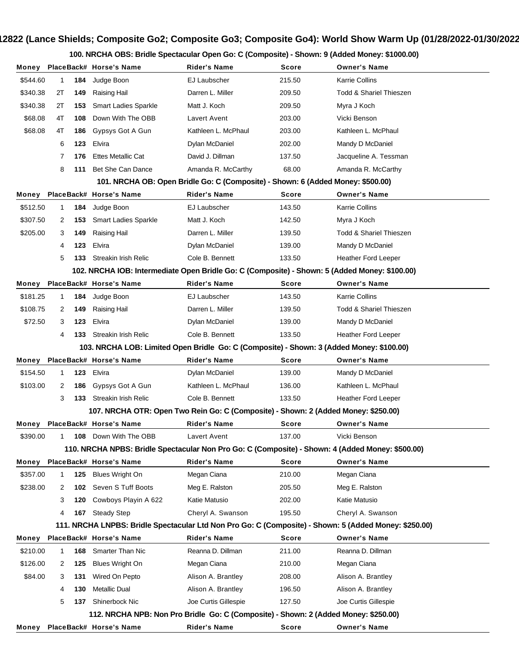## **Show #12822 (Lance Shields; Composite Go2; Composite Go3; Composite Go4): World Show Warm Up (01/28/2022-01/30/2022)**

**100. NRCHA OBS: Bridle Spectacular Open Go: C (Composite) - Shown: 9 (Added Money: \$1000.00)**

| Money                                                                                                                                                                                   |                                                                                          |     | PlaceBack# Horse's Name                                                                          | Rider's Name         | Score  | <b>Owner's Name</b>                |  |  |  |  |  |
|-----------------------------------------------------------------------------------------------------------------------------------------------------------------------------------------|------------------------------------------------------------------------------------------|-----|--------------------------------------------------------------------------------------------------|----------------------|--------|------------------------------------|--|--|--|--|--|
| \$544.60                                                                                                                                                                                | 1                                                                                        | 184 | Judge Boon                                                                                       | EJ Laubscher         | 215.50 | <b>Karrie Collins</b>              |  |  |  |  |  |
| \$340.38                                                                                                                                                                                | 2Т                                                                                       | 149 | Raising Hail                                                                                     | Darren L. Miller     | 209.50 | <b>Todd &amp; Shariel Thieszen</b> |  |  |  |  |  |
| \$340.38                                                                                                                                                                                | 2Τ                                                                                       | 153 | <b>Smart Ladies Sparkle</b>                                                                      | Matt J. Koch         | 209.50 | Myra J Koch                        |  |  |  |  |  |
| \$68.08                                                                                                                                                                                 | 4T                                                                                       | 108 | Down With The OBB                                                                                | Lavert Avent         | 203.00 | Vicki Benson                       |  |  |  |  |  |
| \$68.08                                                                                                                                                                                 | 4T                                                                                       | 186 | Gypsys Got A Gun                                                                                 | Kathleen L. McPhaul  | 203.00 | Kathleen L. McPhaul                |  |  |  |  |  |
|                                                                                                                                                                                         | 6                                                                                        | 123 | Elvira                                                                                           | Dylan McDaniel       | 202.00 | Mandy D McDaniel                   |  |  |  |  |  |
|                                                                                                                                                                                         | 7                                                                                        | 176 | <b>Ettes Metallic Cat</b>                                                                        | David J. Dillman     | 137.50 | Jacqueline A. Tessman              |  |  |  |  |  |
|                                                                                                                                                                                         | 8                                                                                        | 111 | Bet She Can Dance                                                                                | Amanda R. McCarthy   | 68.00  | Amanda R. McCarthy                 |  |  |  |  |  |
|                                                                                                                                                                                         | 101. NRCHA OB: Open Bridle Go: C (Composite) - Shown: 6 (Added Money: \$500.00)          |     |                                                                                                  |                      |        |                                    |  |  |  |  |  |
| Money                                                                                                                                                                                   |                                                                                          |     | PlaceBack# Horse's Name                                                                          | <b>Rider's Name</b>  | Score  | <b>Owner's Name</b>                |  |  |  |  |  |
| \$512.50                                                                                                                                                                                | 1                                                                                        | 184 | Judge Boon                                                                                       | EJ Laubscher         | 143.50 | <b>Karrie Collins</b>              |  |  |  |  |  |
| \$307.50                                                                                                                                                                                | 2                                                                                        | 153 | <b>Smart Ladies Sparkle</b>                                                                      | Matt J. Koch         | 142.50 | Myra J Koch                        |  |  |  |  |  |
| \$205.00                                                                                                                                                                                | 3                                                                                        | 149 | Raising Hail                                                                                     | Darren L. Miller     | 139.50 | <b>Todd &amp; Shariel Thieszen</b> |  |  |  |  |  |
|                                                                                                                                                                                         | 4                                                                                        | 123 | Elvira                                                                                           | Dylan McDaniel       | 139.00 | Mandy D McDaniel                   |  |  |  |  |  |
|                                                                                                                                                                                         | 5                                                                                        | 133 | Streakin Irish Relic                                                                             | Cole B. Bennett      | 133.50 | <b>Heather Ford Leeper</b>         |  |  |  |  |  |
|                                                                                                                                                                                         |                                                                                          |     | 102. NRCHA IOB: Intermediate Open Bridle Go: C (Composite) - Shown: 5 (Added Money: \$100.00)    |                      |        |                                    |  |  |  |  |  |
| Money                                                                                                                                                                                   |                                                                                          |     | PlaceBack# Horse's Name                                                                          | Rider's Name         | Score  | <b>Owner's Name</b>                |  |  |  |  |  |
| \$181.25                                                                                                                                                                                | 1                                                                                        | 184 | Judge Boon                                                                                       | EJ Laubscher         | 143.50 | <b>Karrie Collins</b>              |  |  |  |  |  |
| \$108.75                                                                                                                                                                                | 2                                                                                        | 149 | Raising Hail                                                                                     | Darren L. Miller     | 139.50 | <b>Todd &amp; Shariel Thieszen</b> |  |  |  |  |  |
| \$72.50                                                                                                                                                                                 | 3                                                                                        | 123 | Elvira                                                                                           | Dylan McDaniel       | 139.00 | Mandy D McDaniel                   |  |  |  |  |  |
|                                                                                                                                                                                         | 4                                                                                        | 133 | Streakin Irish Relic                                                                             | Cole B. Bennett      | 133.50 | <b>Heather Ford Leeper</b>         |  |  |  |  |  |
|                                                                                                                                                                                         | 103. NRCHA LOB: Limited Open Bridle Go: C (Composite) - Shown: 3 (Added Money: \$100.00) |     |                                                                                                  |                      |        |                                    |  |  |  |  |  |
| Money                                                                                                                                                                                   |                                                                                          |     | PlaceBack# Horse's Name                                                                          | Rider's Name         | Score  | <b>Owner's Name</b>                |  |  |  |  |  |
| \$154.50                                                                                                                                                                                | 1                                                                                        | 123 | Elvira                                                                                           | Dylan McDaniel       | 139.00 | Mandy D McDaniel                   |  |  |  |  |  |
| \$103.00                                                                                                                                                                                | 2                                                                                        | 186 | Gypsys Got A Gun                                                                                 | Kathleen L. McPhaul  | 136.00 | Kathleen L. McPhaul                |  |  |  |  |  |
|                                                                                                                                                                                         | 3                                                                                        | 133 | Streakin Irish Relic                                                                             | Cole B. Bennett      | 133.50 | <b>Heather Ford Leeper</b>         |  |  |  |  |  |
|                                                                                                                                                                                         |                                                                                          |     | 107. NRCHA OTR: Open Two Rein Go: C (Composite) - Shown: 2 (Added Money: \$250.00)               |                      |        |                                    |  |  |  |  |  |
| Money                                                                                                                                                                                   |                                                                                          |     | PlaceBack# Horse's Name                                                                          | <b>Rider's Name</b>  | Score  | <b>Owner's Name</b>                |  |  |  |  |  |
| \$390.00                                                                                                                                                                                | 1                                                                                        | 108 | Down With The OBB                                                                                | Lavert Avent         | 137.00 | Vicki Benson                       |  |  |  |  |  |
|                                                                                                                                                                                         |                                                                                          |     | 110. NRCHA NPBS: Bridle Spectacular Non Pro Go: C (Composite) - Shown: 4 (Added Money: \$500.00) |                      |        |                                    |  |  |  |  |  |
| Money                                                                                                                                                                                   |                                                                                          |     | PlaceBack# Horse's Name                                                                          | <b>Rider's Name</b>  | Score  | <b>Owner's Name</b>                |  |  |  |  |  |
| \$357.00                                                                                                                                                                                | 1                                                                                        | 125 | <b>Blues Wright On</b>                                                                           | Megan Ciana          | 210.00 | Megan Ciana                        |  |  |  |  |  |
| \$238.00                                                                                                                                                                                | 2                                                                                        | 102 | Seven S Tuff Boots                                                                               | Meg E. Ralston       | 205.50 | Meg E. Ralston                     |  |  |  |  |  |
|                                                                                                                                                                                         | 3                                                                                        | 120 | Cowboys Playin A 622                                                                             | Katie Matusio        | 202.00 | Katie Matusio                      |  |  |  |  |  |
|                                                                                                                                                                                         | 4                                                                                        | 167 | <b>Steady Step</b>                                                                               | Cheryl A. Swanson    | 195.50 | Cheryl A. Swanson                  |  |  |  |  |  |
| 111. NRCHA LNPBS: Bridle Spectacular Ltd Non Pro Go: C (Composite) - Shown: 5 (Added Money: \$250.00)<br>PlaceBack# Horse's Name<br><b>Rider's Name</b><br><b>Owner's Name</b><br>Score |                                                                                          |     |                                                                                                  |                      |        |                                    |  |  |  |  |  |
| Money<br>\$210.00                                                                                                                                                                       | 1                                                                                        | 168 | <b>Smarter Than Nic</b>                                                                          | Reanna D. Dillman    | 211.00 | Reanna D. Dillman                  |  |  |  |  |  |
| \$126.00                                                                                                                                                                                | 2                                                                                        | 125 | <b>Blues Wright On</b>                                                                           | Megan Ciana          | 210.00 | Megan Ciana                        |  |  |  |  |  |
| \$84.00                                                                                                                                                                                 | 3                                                                                        | 131 | Wired On Pepto                                                                                   | Alison A. Brantley   | 208.00 | Alison A. Brantley                 |  |  |  |  |  |
|                                                                                                                                                                                         | 4                                                                                        | 130 | <b>Metallic Dual</b>                                                                             | Alison A. Brantley   | 196.50 | Alison A. Brantley                 |  |  |  |  |  |
|                                                                                                                                                                                         | 5                                                                                        | 137 | Shinerbock Nic                                                                                   | Joe Curtis Gillespie | 127.50 | Joe Curtis Gillespie               |  |  |  |  |  |
|                                                                                                                                                                                         |                                                                                          |     | 112. NRCHA NPB: Non Pro Bridle Go: C (Composite) - Shown: 2 (Added Money: \$250.00)              |                      |        |                                    |  |  |  |  |  |
| Money                                                                                                                                                                                   |                                                                                          |     | PlaceBack# Horse's Name                                                                          | <b>Rider's Name</b>  | Score  | <b>Owner's Name</b>                |  |  |  |  |  |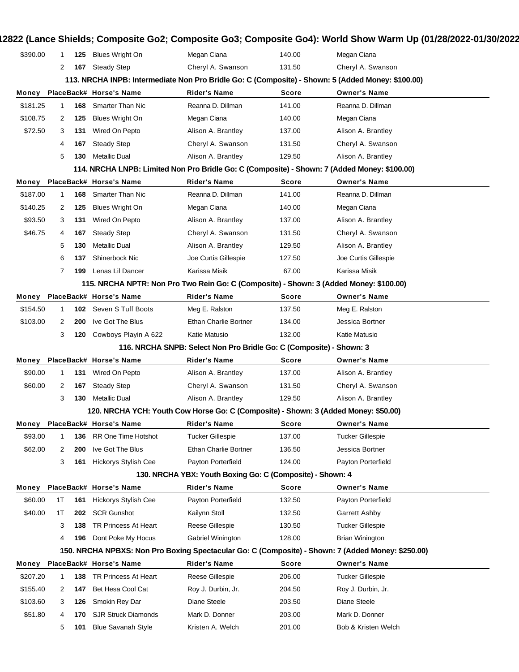| \$390.00 | 1           | 125 | <b>Blues Wright On</b>      | Megan Ciana                                                                            | 140.00       | Megan Ciana                                                                                       |
|----------|-------------|-----|-----------------------------|----------------------------------------------------------------------------------------|--------------|---------------------------------------------------------------------------------------------------|
|          | 2           | 167 | <b>Steady Step</b>          | Cheryl A. Swanson                                                                      | 131.50       | Cheryl A. Swanson                                                                                 |
|          |             |     |                             |                                                                                        |              | 113. NRCHA INPB: Intermediate Non Pro Bridle Go: C (Composite) - Shown: 5 (Added Money: \$100.00) |
| Money    |             |     | PlaceBack# Horse's Name     | <b>Rider's Name</b>                                                                    | <b>Score</b> | <b>Owner's Name</b>                                                                               |
| \$181.25 | 1           | 168 | <b>Smarter Than Nic</b>     | Reanna D. Dillman                                                                      | 141.00       | Reanna D. Dillman                                                                                 |
| \$108.75 | 2           | 125 | <b>Blues Wright On</b>      | Megan Ciana                                                                            | 140.00       | Megan Ciana                                                                                       |
| \$72.50  | 3           | 131 | Wired On Pepto              | Alison A. Brantley                                                                     | 137.00       | Alison A. Brantley                                                                                |
|          | 4           | 167 | <b>Steady Step</b>          | Cheryl A. Swanson                                                                      | 131.50       | Cheryl A. Swanson                                                                                 |
|          | 5           | 130 | <b>Metallic Dual</b>        | Alison A. Brantley                                                                     | 129.50       | Alison A. Brantley                                                                                |
|          |             |     |                             |                                                                                        |              | 114. NRCHA LNPB: Limited Non Pro Bridle Go: C (Composite) - Shown: 7 (Added Money: \$100.00)      |
| Money    |             |     | PlaceBack# Horse's Name     | <b>Rider's Name</b>                                                                    | Score        | <b>Owner's Name</b>                                                                               |
| \$187.00 | $\mathbf 1$ | 168 | <b>Smarter Than Nic</b>     | Reanna D. Dillman                                                                      | 141.00       | Reanna D. Dillman                                                                                 |
| \$140.25 | 2           | 125 | <b>Blues Wright On</b>      | Megan Ciana                                                                            | 140.00       | Megan Ciana                                                                                       |
| \$93.50  | 3           | 131 | Wired On Pepto              | Alison A. Brantley                                                                     | 137.00       | Alison A. Brantley                                                                                |
| \$46.75  | 4           | 167 | <b>Steady Step</b>          | Cheryl A. Swanson                                                                      | 131.50       | Cheryl A. Swanson                                                                                 |
|          | 5           | 130 | <b>Metallic Dual</b>        | Alison A. Brantley                                                                     | 129.50       | Alison A. Brantley                                                                                |
|          | 6           | 137 | Shinerbock Nic              | Joe Curtis Gillespie                                                                   | 127.50       | Joe Curtis Gillespie                                                                              |
|          | 7           | 199 | Lenas Lil Dancer            | Karissa Misik                                                                          | 67.00        | Karissa Misik                                                                                     |
|          |             |     |                             | 115. NRCHA NPTR: Non Pro Two Rein Go: C (Composite) - Shown: 3 (Added Money: \$100.00) |              |                                                                                                   |
| Money    |             |     | PlaceBack# Horse's Name     | <b>Rider's Name</b>                                                                    | Score        | <b>Owner's Name</b>                                                                               |
| \$154.50 | 1           |     | 102 Seven S Tuff Boots      | Meg E. Ralston                                                                         | 137.50       | Meg E. Ralston                                                                                    |
| \$103.00 | 2           | 200 | Ive Got The Blus            | <b>Ethan Charlie Bortner</b>                                                           | 134.00       | Jessica Bortner                                                                                   |
|          | 3           | 120 | Cowboys Playin A 622        | Katie Matusio                                                                          | 132.00       | Katie Matusio                                                                                     |
|          |             |     |                             | 116. NRCHA SNPB: Select Non Pro Bridle Go: C (Composite) - Shown: 3                    |              |                                                                                                   |
| Money    |             |     | PlaceBack# Horse's Name     | Rider's Name                                                                           | Score        | <b>Owner's Name</b>                                                                               |
| \$90.00  | 1           | 131 | Wired On Pepto              | Alison A. Brantley                                                                     | 137.00       | Alison A. Brantley                                                                                |
| \$60.00  | 2           | 167 | <b>Steady Step</b>          | Cheryl A. Swanson                                                                      | 131.50       | Cheryl A. Swanson                                                                                 |
|          | 3           | 130 | <b>Metallic Dual</b>        | Alison A. Brantley                                                                     | 129.50       | Alison A. Brantley                                                                                |
|          |             |     |                             | 120. NRCHA YCH: Youth Cow Horse Go: C (Composite) - Shown: 3 (Added Money: \$50.00)    |              |                                                                                                   |
| Money    |             |     | PlaceBack# Horse's Name     | <b>Rider's Name</b>                                                                    | Score        | <b>Owner's Name</b>                                                                               |
| \$93.00  | 1           | 136 | <b>RR One Time Hotshot</b>  | <b>Tucker Gillespie</b>                                                                | 137.00       | <b>Tucker Gillespie</b>                                                                           |
| \$62.00  | 2           | 200 | Ive Got The Blus            | <b>Ethan Charlie Bortner</b>                                                           | 136.50       | Jessica Bortner                                                                                   |
|          | 3           | 161 | Hickorys Stylish Cee        | Payton Porterfield                                                                     | 124.00       | Payton Porterfield                                                                                |
|          |             |     |                             | 130. NRCHA YBX: Youth Boxing Go: C (Composite) - Shown: 4                              |              |                                                                                                   |
| Money    |             |     | PlaceBack# Horse's Name     | <b>Rider's Name</b>                                                                    | Score        | <b>Owner's Name</b>                                                                               |
| \$60.00  | 1T          | 161 | <b>Hickorys Stylish Cee</b> | Payton Porterfield                                                                     | 132.50       | Payton Porterfield                                                                                |
| \$40.00  | 1T          | 202 | <b>SCR Gunshot</b>          | Kailynn Stoll                                                                          | 132.50       | Garrett Ashby                                                                                     |
|          | 3           | 138 | TR Princess At Heart        | Reese Gillespie                                                                        | 130.50       | <b>Tucker Gillespie</b>                                                                           |
|          | 4           | 196 | Dont Poke My Hocus          | Gabriel Winington                                                                      | 128.00       | <b>Brian Winington</b>                                                                            |
|          |             |     |                             |                                                                                        |              | 150. NRCHA NPBXS: Non Pro Boxing Spectacular Go: C (Composite) - Shown: 7 (Added Money: \$250.00) |
| Money    |             |     | PlaceBack# Horse's Name     | <b>Rider's Name</b>                                                                    | Score        | <b>Owner's Name</b>                                                                               |
| \$207.20 | $\mathbf 1$ | 138 | TR Princess At Heart        | Reese Gillespie                                                                        | 206.00       | <b>Tucker Gillespie</b>                                                                           |
| \$155.40 | 2           | 147 | Bet Hesa Cool Cat           | Roy J. Durbin, Jr.                                                                     | 204.50       | Roy J. Durbin, Jr.                                                                                |
|          |             |     | Smokin Rey Dar              | Diane Steele                                                                           | 203.50       | Diane Steele                                                                                      |
| \$103.60 | 3           | 126 |                             |                                                                                        |              |                                                                                                   |
| \$51.80  | 4           | 170 | <b>SJR Struck Diamonds</b>  | Mark D. Donner                                                                         | 203.00       | Mark D. Donner                                                                                    |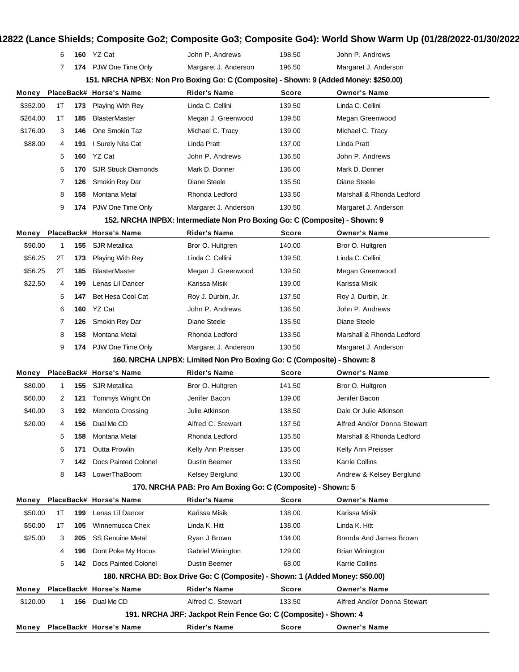## **Show #12822 (Lance Shields; Composite Go2; Composite Go3; Composite Go4): World Show Warm Up (01/28/2022-01/30/2022)**

|                                                                                  | 6                                                                                     |     | <b>160</b> YZ Cat           | John P. Andrews                                                       | 198.50       | John P. Andrews             |  |  |  |  |  |
|----------------------------------------------------------------------------------|---------------------------------------------------------------------------------------|-----|-----------------------------|-----------------------------------------------------------------------|--------------|-----------------------------|--|--|--|--|--|
|                                                                                  | 7                                                                                     |     | 174 PJW One Time Only       | Margaret J. Anderson                                                  | 196.50       | Margaret J. Anderson        |  |  |  |  |  |
|                                                                                  | 151. NRCHA NPBX: Non Pro Boxing Go: C (Composite) - Shown: 9 (Added Money: \$250.00)  |     |                             |                                                                       |              |                             |  |  |  |  |  |
| Money                                                                            | PlaceBack# Horse's Name<br><b>Rider's Name</b><br><b>Owner's Name</b><br><b>Score</b> |     |                             |                                                                       |              |                             |  |  |  |  |  |
| \$352.00                                                                         | 1T                                                                                    | 173 | <b>Playing With Rey</b>     | Linda C. Cellini                                                      | 139.50       | Linda C. Cellini            |  |  |  |  |  |
| \$264.00                                                                         | 1T                                                                                    | 185 | <b>BlasterMaster</b>        | Megan J. Greenwood                                                    | 139.50       | Megan Greenwood             |  |  |  |  |  |
| \$176.00                                                                         | 3                                                                                     | 146 | One Smokin Taz              | Michael C. Tracy                                                      | 139.00       | Michael C. Tracy            |  |  |  |  |  |
| \$88.00                                                                          | 4                                                                                     | 191 | I Surely Nita Cat           | Linda Pratt                                                           | 137.00       | Linda Pratt                 |  |  |  |  |  |
|                                                                                  | 5                                                                                     | 160 | YZ Cat                      | John P. Andrews                                                       | 136.50       | John P. Andrews             |  |  |  |  |  |
|                                                                                  | 6                                                                                     | 170 | <b>SJR Struck Diamonds</b>  | Mark D. Donner                                                        | 136.00       | Mark D. Donner              |  |  |  |  |  |
|                                                                                  | 7                                                                                     | 126 | Smokin Rey Dar              | Diane Steele                                                          | 135.50       | Diane Steele                |  |  |  |  |  |
|                                                                                  | 8                                                                                     | 158 | Montana Metal               | Rhonda Ledford                                                        | 133.50       | Marshall & Rhonda Ledford   |  |  |  |  |  |
|                                                                                  | 9                                                                                     |     | 174 PJW One Time Only       | Margaret J. Anderson                                                  | 130.50       | Margaret J. Anderson        |  |  |  |  |  |
|                                                                                  | 152. NRCHA INPBX: Intermediate Non Pro Boxing Go: C (Composite) - Shown: 9            |     |                             |                                                                       |              |                             |  |  |  |  |  |
| Money                                                                            |                                                                                       |     | PlaceBack# Horse's Name     | <b>Rider's Name</b>                                                   | Score        | <b>Owner's Name</b>         |  |  |  |  |  |
| \$90.00                                                                          | $\mathbf{1}$                                                                          | 155 | <b>SJR Metallica</b>        | Bror O. Hultgren                                                      | 140.00       | Bror O. Hultgren            |  |  |  |  |  |
| \$56.25                                                                          | 2Τ                                                                                    | 173 | <b>Playing With Rey</b>     | Linda C. Cellini                                                      | 139.50       | Linda C. Cellini            |  |  |  |  |  |
| \$56.25                                                                          | 2Τ                                                                                    | 185 | <b>BlasterMaster</b>        | Megan J. Greenwood                                                    | 139.50       | Megan Greenwood             |  |  |  |  |  |
| \$22.50                                                                          | 4                                                                                     | 199 | Lenas Lil Dancer            | Karissa Misik                                                         | 139.00       | Karissa Misik               |  |  |  |  |  |
|                                                                                  | 5                                                                                     | 147 | Bet Hesa Cool Cat           | Roy J. Durbin, Jr.                                                    | 137.50       | Roy J. Durbin, Jr.          |  |  |  |  |  |
|                                                                                  | 6                                                                                     | 160 | YZ Cat                      | John P. Andrews                                                       | 136.50       | John P. Andrews             |  |  |  |  |  |
|                                                                                  | 7                                                                                     | 126 | Smokin Rey Dar              | Diane Steele                                                          | 135.50       | Diane Steele                |  |  |  |  |  |
|                                                                                  | 8                                                                                     | 158 | Montana Metal               | Rhonda Ledford                                                        | 133.50       | Marshall & Rhonda Ledford   |  |  |  |  |  |
|                                                                                  | 9                                                                                     |     | 174 PJW One Time Only       | Margaret J. Anderson                                                  | 130.50       | Margaret J. Anderson        |  |  |  |  |  |
|                                                                                  |                                                                                       |     |                             | 160. NRCHA LNPBX: Limited Non Pro Boxing Go: C (Composite) - Shown: 8 |              |                             |  |  |  |  |  |
| Money                                                                            |                                                                                       |     | PlaceBack# Horse's Name     | <b>Rider's Name</b>                                                   | <b>Score</b> | <b>Owner's Name</b>         |  |  |  |  |  |
| \$80.00                                                                          | $\mathbf{1}$                                                                          | 155 | <b>SJR Metallica</b>        | Bror O. Hultgren                                                      | 141.50       | Bror O. Hultgren            |  |  |  |  |  |
| \$60.00                                                                          | 2                                                                                     | 121 | Tommys Wright On            | Jenifer Bacon                                                         | 139.00       | Jenifer Bacon               |  |  |  |  |  |
| \$40.00                                                                          | 3                                                                                     | 192 | <b>Mendota Crossing</b>     | Julie Atkinson                                                        | 138.50       | Dale Or Julie Atkinson      |  |  |  |  |  |
| \$20.00                                                                          | 4                                                                                     |     | 156 Dual Me CD              | Alfred C. Stewart                                                     | 137.50       | Alfred And/or Donna Stewart |  |  |  |  |  |
|                                                                                  | 5                                                                                     | 158 | Montana Metal               | Rhonda Ledford                                                        | 135.50       | Marshall & Rhonda Ledford   |  |  |  |  |  |
|                                                                                  | 6                                                                                     | 171 | Outta Prowlin               | Kelly Ann Preisser                                                    | 135.00       | Kelly Ann Preisser          |  |  |  |  |  |
|                                                                                  | 7                                                                                     | 142 | <b>Docs Painted Colonel</b> | Dustin Beemer                                                         | 133.50       | <b>Karrie Collins</b>       |  |  |  |  |  |
|                                                                                  | 8                                                                                     | 143 | LowerThaBoom                | Kelsey Berglund                                                       | 130.00       | Andrew & Kelsey Berglund    |  |  |  |  |  |
| 170. NRCHA PAB: Pro Am Boxing Go: C (Composite) - Shown: 5                       |                                                                                       |     |                             |                                                                       |              |                             |  |  |  |  |  |
| Money                                                                            |                                                                                       |     | PlaceBack# Horse's Name     | <b>Rider's Name</b>                                                   | Score        | <b>Owner's Name</b>         |  |  |  |  |  |
| \$50.00                                                                          | 1T                                                                                    | 199 | Lenas Lil Dancer            | Karissa Misik                                                         | 138.00       | Karissa Misik               |  |  |  |  |  |
| \$50.00                                                                          | 1T                                                                                    | 105 | Winnemucca Chex             | Linda K. Hitt                                                         | 138.00       | Linda K. Hitt               |  |  |  |  |  |
| \$25.00                                                                          | 3                                                                                     | 205 | <b>SS Genuine Metal</b>     | Ryan J Brown                                                          | 134.00       | Brenda And James Brown      |  |  |  |  |  |
|                                                                                  | 4                                                                                     | 196 | Dont Poke My Hocus          | Gabriel Winington                                                     | 129.00       | <b>Brian Winington</b>      |  |  |  |  |  |
|                                                                                  | 5                                                                                     | 142 | Docs Painted Colonel        | Dustin Beemer                                                         | 68.00        | Karrie Collins              |  |  |  |  |  |
|                                                                                  | 180. NRCHA BD: Box Drive Go: C (Composite) - Shown: 1 (Added Money: \$50.00)          |     |                             |                                                                       |              |                             |  |  |  |  |  |
| Money                                                                            |                                                                                       |     | PlaceBack# Horse's Name     | <b>Rider's Name</b>                                                   | <b>Score</b> | <b>Owner's Name</b>         |  |  |  |  |  |
| \$120.00                                                                         | 1                                                                                     | 156 | Dual Me CD                  | Alfred C. Stewart                                                     | 133.50       | Alfred And/or Donna Stewart |  |  |  |  |  |
|                                                                                  | 191. NRCHA JRF: Jackpot Rein Fence Go: C (Composite) - Shown: 4                       |     |                             |                                                                       |              |                             |  |  |  |  |  |
| PlaceBack# Horse's Name<br>Rider's Name<br>Score<br><b>Owner's Name</b><br>Money |                                                                                       |     |                             |                                                                       |              |                             |  |  |  |  |  |